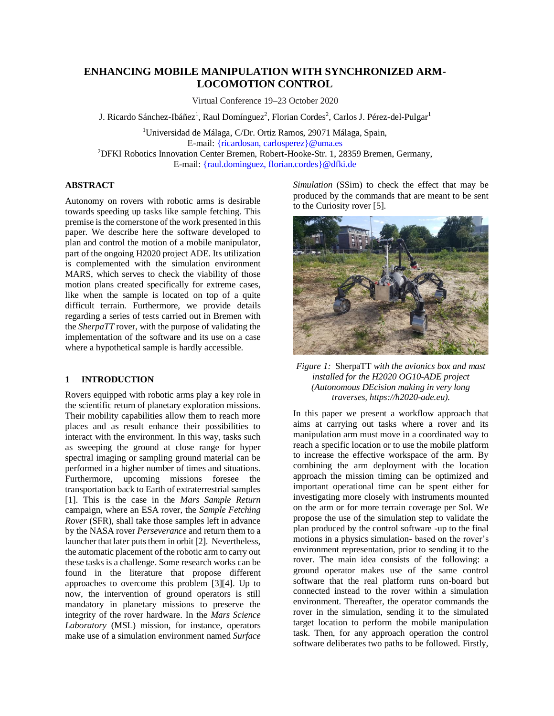# **ENHANCING MOBILE MANIPULATION WITH SYNCHRONIZED ARM-LOCOMOTION CONTROL**

Virtual Conference 19–23 October 2020

J. Ricardo Sánchez-Ibáñez<sup>1</sup>, Raul Domínguez<sup>2</sup>, Florian Cordes<sup>2</sup>, Carlos J. Pérez-del-Pulgar<sup>1</sup>

<sup>1</sup>Universidad de Málaga, C/Dr. Ortiz Ramos, 29071 Málaga, Spain, E-mail: {ricardosan, carlosperez}@uma.es <sup>2</sup>DFKI Robotics Innovation Center Bremen, Robert-Hooke-Str. 1, 28359 Bremen, Germany, E-mail: {raul.dominguez, florian.cordes}@dfki.de

## **ABSTRACT**

Autonomy on rovers with robotic arms is desirable towards speeding up tasks like sample fetching. This premise is the cornerstone of the work presented in this paper. We describe here the software developed to plan and control the motion of a mobile manipulator, part of the ongoing H2020 project ADE. Its utilization is complemented with the simulation environment MARS, which serves to check the viability of those motion plans created specifically for extreme cases, like when the sample is located on top of a quite difficult terrain. Furthermore, we provide details regarding a series of tests carried out in Bremen with the *SherpaTT* rover, with the purpose of validating the implementation of the software and its use on a case where a hypothetical sample is hardly accessible.

### **1 INTRODUCTION**

Rovers equipped with robotic arms play a key role in the scientific return of planetary exploration missions. Their mobility capabilities allow them to reach more places and as result enhance their possibilities to interact with the environment. In this way, tasks such as sweeping the ground at close range for hyper spectral imaging or sampling ground material can be performed in a higher number of times and situations. Furthermore, upcoming missions foresee the transportation back to Earth of extraterrestrial samples [1]. This is the case in the *Mars Sample Return* campaign, where an ESA rover, the *Sample Fetching Rover* (SFR), shall take those samples left in advance by the NASA rover *Perseverance* and return them to a launcher that later puts them in orbit [2]. Nevertheless, the automatic placement of the robotic arm to carry out these tasks is a challenge. Some research works can be found in the literature that propose different approaches to overcome this problem [3][4]. Up to now, the intervention of ground operators is still mandatory in planetary missions to preserve the integrity of the rover hardware. In the *Mars Science Laboratory* (MSL) mission, for instance, operators make use of a simulation environment named *Surface* 

*Simulation* (SSim) to check the effect that may be produced by the commands that are meant to be sent to the Curiosity rover [5].



*Figure 1:* SherpaTT *with the avionics box and mast installed for the H2020 OG10-ADE project (Autonomous DEcision making in very long traverses, https://h2020-ade.eu).*

In this paper we present a workflow approach that aims at carrying out tasks where a rover and its manipulation arm must move in a coordinated way to reach a specific location or to use the mobile platform to increase the effective workspace of the arm. By combining the arm deployment with the location approach the mission timing can be optimized and important operational time can be spent either for investigating more closely with instruments mounted on the arm or for more terrain coverage per Sol. We propose the use of the simulation step to validate the plan produced by the control software -up to the final motions in a physics simulation- based on the rover's environment representation, prior to sending it to the rover. The main idea consists of the following: a ground operator makes use of the same control software that the real platform runs on-board but connected instead to the rover within a simulation environment. Thereafter, the operator commands the rover in the simulation, sending it to the simulated target location to perform the mobile manipulation task. Then, for any approach operation the control software deliberates two paths to be followed. Firstly,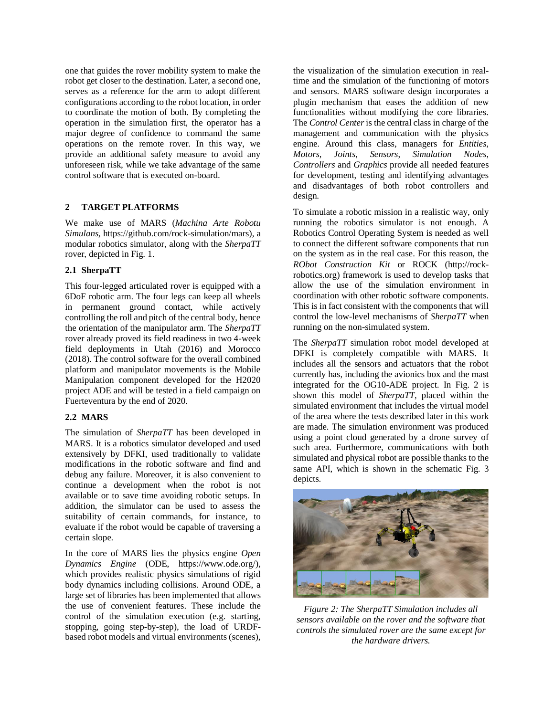one that guides the rover mobility system to make the robot get closer to the destination. Later, a second one, serves as a reference for the arm to adopt different configurations according to the robot location, in order to coordinate the motion of both. By completing the operation in the simulation first, the operator has a major degree of confidence to command the same operations on the remote rover. In this way, we provide an additional safety measure to avoid any unforeseen risk, while we take advantage of the same control software that is executed on-board.

### **2 TARGET PLATFORMS**

We make use of MARS (*Machina Arte Robotu Simulans*, https://github.com/rock-simulation/mars), a modular robotics simulator, along with the *SherpaTT* rover, depicted in Fig. 1.

### **2.1 SherpaTT**

This four-legged articulated rover is equipped with a 6DoF robotic arm. The four legs can keep all wheels in permanent ground contact, while actively controlling the roll and pitch of the central body, hence the orientation of the manipulator arm. The *SherpaTT* rover already proved its field readiness in two 4-week field deployments in Utah (2016) and Morocco (2018). The control software for the overall combined platform and manipulator movements is the Mobile Manipulation component developed for the H2020 project ADE and will be tested in a field campaign on Fuerteventura by the end of 2020.

# **2.2 MARS**

The simulation of *SherpaTT* has been developed in MARS. It is a robotics simulator developed and used extensively by DFKI, used traditionally to validate modifications in the robotic software and find and debug any failure. Moreover, it is also convenient to continue a development when the robot is not available or to save time avoiding robotic setups. In addition, the simulator can be used to assess the suitability of certain commands, for instance, to evaluate if the robot would be capable of traversing a certain slope.

In the core of MARS lies the physics engine *Open Dynamics Engine* (ODE, https://www.ode.org/), which provides realistic physics simulations of rigid body dynamics including collisions. Around ODE, a large set of libraries has been implemented that allows the use of convenient features. These include the control of the simulation execution (e.g. starting, stopping, going step-by-step), the load of URDFbased robot models and virtual environments (scenes), the visualization of the simulation execution in realtime and the simulation of the functioning of motors and sensors. MARS software design incorporates a plugin mechanism that eases the addition of new functionalities without modifying the core libraries. The *Control Center*is the central class in charge of the management and communication with the physics engine. Around this class, managers for *Entities*, *Motors*, *Joints*, *Sensors*, *Simulation Nodes*, *Controllers* and *Graphics* provide all needed features for development, testing and identifying advantages and disadvantages of both robot controllers and design.

To simulate a robotic mission in a realistic way, only running the robotics simulator is not enough. A Robotics Control Operating System is needed as well to connect the different software components that run on the system as in the real case. For this reason, the *RObot Construction Kit* or ROCK (http://rockrobotics.org) framework is used to develop tasks that allow the use of the simulation environment in coordination with other robotic software components. This is in fact consistent with the components that will control the low-level mechanisms of *SherpaTT* when running on the non-simulated system.

The *SherpaTT* simulation robot model developed at DFKI is completely compatible with MARS. It includes all the sensors and actuators that the robot currently has, including the avionics box and the mast integrated for the OG10-ADE project. In Fig. 2 is shown this model of *SherpaTT*, placed within the simulated environment that includes the virtual model of the area where the tests described later in this work are made. The simulation environment was produced using a point cloud generated by a drone survey of such area. Furthermore, communications with both simulated and physical robot are possible thanks to the same API, which is shown in the schematic Fig. 3 depicts.



*Figure 2: The SherpaTT Simulation includes all sensors available on the rover and the software that controls the simulated rover are the same except for the hardware drivers.*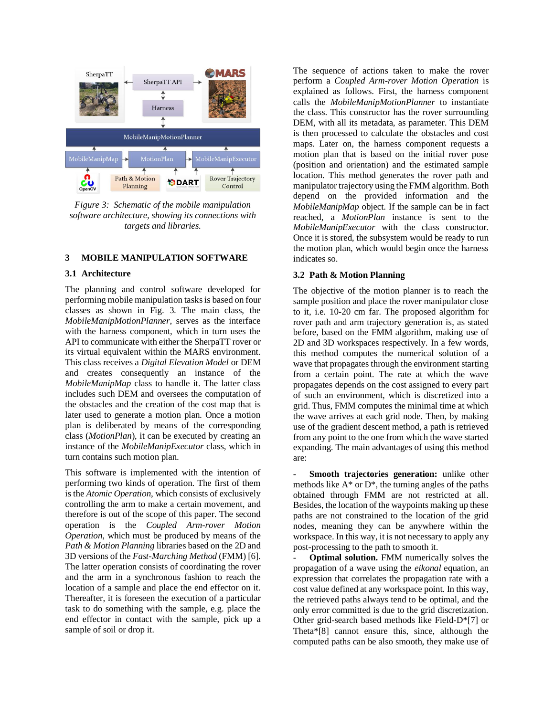

*Figure 3: Schematic of the mobile manipulation software architecture, showing its connections with targets and libraries.* 

### **3 MOBILE MANIPULATION SOFTWARE**

#### **3.1 Architecture**

The planning and control software developed for performing mobile manipulation tasks is based on four classes as shown in Fig. 3. The main class, the *MobileManipMotionPlanner*, serves as the interface with the harness component, which in turn uses the API to communicate with either the SherpaTT rover or its virtual equivalent within the MARS environment. This class receives a *Digital Elevation Model* or DEM and creates consequently an instance of the *MobileManipMap* class to handle it. The latter class includes such DEM and oversees the computation of the obstacles and the creation of the cost map that is later used to generate a motion plan. Once a motion plan is deliberated by means of the corresponding class (*MotionPlan*), it can be executed by creating an instance of the *MobileManipExecutor* class, which in turn contains such motion plan.

This software is implemented with the intention of performing two kinds of operation. The first of them is the *Atomic Operation*, which consists of exclusively controlling the arm to make a certain movement, and therefore is out of the scope of this paper. The second operation is the *Coupled Arm-rover Motion Operation*, which must be produced by means of the *Path & Motion Planning* libraries based on the 2D and 3D versions of the *Fast-Marching Method* (FMM) [6]. The latter operation consists of coordinating the rover and the arm in a synchronous fashion to reach the location of a sample and place the end effector on it. Thereafter, it is foreseen the execution of a particular task to do something with the sample, e.g. place the end effector in contact with the sample, pick up a sample of soil or drop it.

The sequence of actions taken to make the rover perform a *Coupled Arm-rover Motion Operation* is explained as follows. First, the harness component calls the *MobileManipMotionPlanner* to instantiate the class. This constructor has the rover surrounding DEM, with all its metadata, as parameter. This DEM is then processed to calculate the obstacles and cost maps. Later on, the harness component requests a motion plan that is based on the initial rover pose (position and orientation) and the estimated sample location. This method generates the rover path and manipulator trajectory using the FMM algorithm. Both depend on the provided information and the *MobileManipMap* object. If the sample can be in fact reached, a *MotionPlan* instance is sent to the *MobileManipExecutor* with the class constructor. Once it is stored, the subsystem would be ready to run the motion plan, which would begin once the harness indicates so.

#### **3.2 Path & Motion Planning**

The objective of the motion planner is to reach the sample position and place the rover manipulator close to it, i.e. 10-20 cm far. The proposed algorithm for rover path and arm trajectory generation is, as stated before, based on the FMM algorithm, making use of 2D and 3D workspaces respectively. In a few words, this method computes the numerical solution of a wave that propagates through the environment starting from a certain point. The rate at which the wave propagates depends on the cost assigned to every part of such an environment, which is discretized into a grid. Thus, FMM computes the minimal time at which the wave arrives at each grid node. Then, by making use of the gradient descent method, a path is retrieved from any point to the one from which the wave started expanding. The main advantages of using this method are:

Smooth trajectories generation: unlike other methods like  $A^*$  or  $D^*$ , the turning angles of the paths obtained through FMM are not restricted at all. Besides, the location of the waypoints making up these paths are not constrained to the location of the grid nodes, meaning they can be anywhere within the workspace. In this way, it is not necessary to apply any post-processing to the path to smooth it.

- **Optimal solution.** FMM numerically solves the propagation of a wave using the *eikonal* equation, an expression that correlates the propagation rate with a cost value defined at any workspace point. In this way, the retrieved paths always tend to be optimal, and the only error committed is due to the grid discretization. Other grid-search based methods like Field-D\*[7] or Theta\*[8] cannot ensure this, since, although the computed paths can be also smooth, they make use of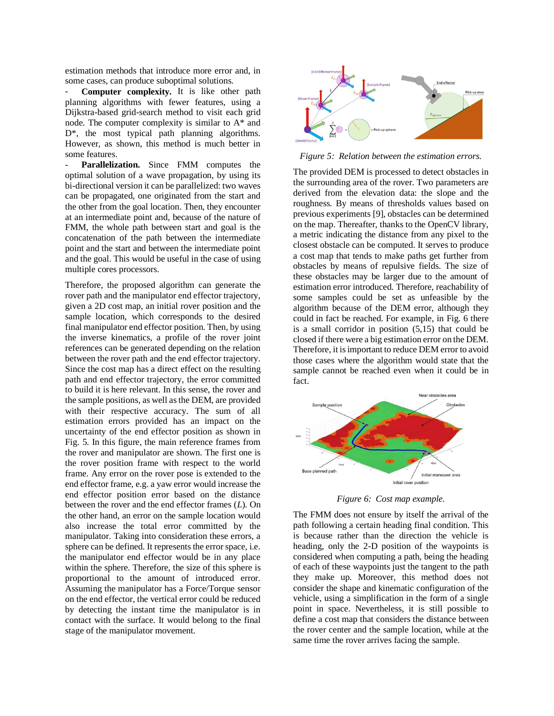estimation methods that introduce more error and, in some cases, can produce suboptimal solutions.

Computer complexity. It is like other path planning algorithms with fewer features, using a Dijkstra-based grid-search method to visit each grid node. The computer complexity is similar to A\* and D<sup>\*</sup>, the most typical path planning algorithms. However, as shown, this method is much better in some features.

Parallelization. Since FMM computes the optimal solution of a wave propagation, by using its bi-directional version it can be parallelized: two waves can be propagated, one originated from the start and the other from the goal location. Then, they encounter at an intermediate point and, because of the nature of FMM, the whole path between start and goal is the concatenation of the path between the intermediate point and the start and between the intermediate point and the goal. This would be useful in the case of using multiple cores processors.

Therefore, the proposed algorithm can generate the rover path and the manipulator end effector trajectory, given a 2D cost map, an initial rover position and the sample location, which corresponds to the desired final manipulator end effector position. Then, by using the inverse kinematics, a profile of the rover joint references can be generated depending on the relation between the rover path and the end effector trajectory. Since the cost map has a direct effect on the resulting path and end effector trajectory, the error committed to build it is here relevant. In this sense, the rover and the sample positions, as well as the DEM, are provided with their respective accuracy. The sum of all estimation errors provided has an impact on the uncertainty of the end effector position as shown in Fig. 5. In this figure, the main reference frames from the rover and manipulator are shown. The first one is the rover position frame with respect to the world frame. Any error on the rover pose is extended to the end effector frame, e.g. a yaw error would increase the end effector position error based on the distance between the rover and the end effector frames (*L*). On the other hand, an error on the sample location would also increase the total error committed by the manipulator. Taking into consideration these errors, a sphere can be defined. It represents the error space, i.e. the manipulator end effector would be in any place within the sphere. Therefore, the size of this sphere is proportional to the amount of introduced error. Assuming the manipulator has a Force/Torque sensor on the end effector, the vertical error could be reduced by detecting the instant time the manipulator is in contact with the surface. It would belong to the final stage of the manipulator movement.



*Figure 5: Relation between the estimation errors.*

The provided DEM is processed to detect obstacles in the surrounding area of the rover. Two parameters are derived from the elevation data: the slope and the roughness. By means of thresholds values based on previous experiments [9], obstacles can be determined on the map. Thereafter, thanks to the OpenCV library, a metric indicating the distance from any pixel to the closest obstacle can be computed. It serves to produce a cost map that tends to make paths get further from obstacles by means of repulsive fields. The size of these obstacles may be larger due to the amount of estimation error introduced. Therefore, reachability of some samples could be set as unfeasible by the algorithm because of the DEM error, although they could in fact be reached. For example, in Fig. 6 there is a small corridor in position (5,15) that could be closed if there were a big estimation error on the DEM. Therefore, it is important to reduce DEM error to avoid those cases where the algorithm would state that the sample cannot be reached even when it could be in fact.



*Figure 6: Cost map example.*

The FMM does not ensure by itself the arrival of the path following a certain heading final condition. This is because rather than the direction the vehicle is heading, only the 2-D position of the waypoints is considered when computing a path, being the heading of each of these waypoints just the tangent to the path they make up. Moreover, this method does not consider the shape and kinematic configuration of the vehicle, using a simplification in the form of a single point in space. Nevertheless, it is still possible to define a cost map that considers the distance between the rover center and the sample location, while at the same time the rover arrives facing the sample.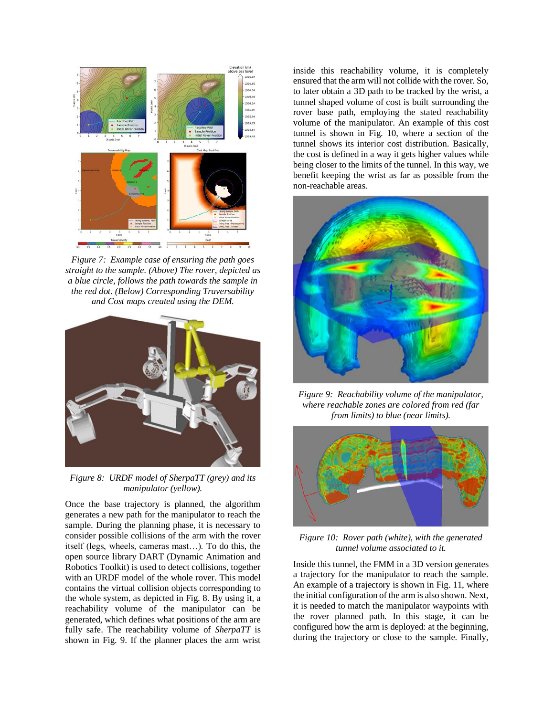

*Figure 7: Example case of ensuring the path goes straight to the sample. (Above) The rover, depicted as a blue circle, follows the path towards the sample in the red dot. (Below) Corresponding Traversability and Cost maps created using the DEM.*



*Figure 8: URDF model of SherpaTT (grey) and its manipulator (yellow).*

Once the base trajectory is planned, the algorithm generates a new path for the manipulator to reach the sample. During the planning phase, it is necessary to consider possible collisions of the arm with the rover itself (legs, wheels, cameras mast…). To do this, the open source library DART (Dynamic Animation and Robotics Toolkit) is used to detect collisions, together with an URDF model of the whole rover. This model contains the virtual collision objects corresponding to the whole system, as depicted in Fig. 8. By using it, a reachability volume of the manipulator can be generated, which defines what positions of the arm are fully safe. The reachability volume of *SherpaTT* is shown in Fig. 9. If the planner places the arm wrist inside this reachability volume, it is completely ensured that the arm will not collide with the rover. So, to later obtain a 3D path to be tracked by the wrist, a tunnel shaped volume of cost is built surrounding the rover base path, employing the stated reachability volume of the manipulator. An example of this cost tunnel is shown in Fig. 10, where a section of the tunnel shows its interior cost distribution. Basically, the cost is defined in a way it gets higher values while being closer to the limits of the tunnel. In this way, we benefit keeping the wrist as far as possible from the non-reachable areas.



*Figure 9: Reachability volume of the manipulator, where reachable zones are colored from red (far from limits) to blue (near limits).*



*Figure 10: Rover path (white), with the generated tunnel volume associated to it.*

Inside this tunnel, the FMM in a 3D version generates a trajectory for the manipulator to reach the sample. An example of a trajectory is shown in Fig. 11, where the initial configuration of the arm is also shown. Next, it is needed to match the manipulator waypoints with the rover planned path. In this stage, it can be configured how the arm is deployed: at the beginning, during the trajectory or close to the sample. Finally,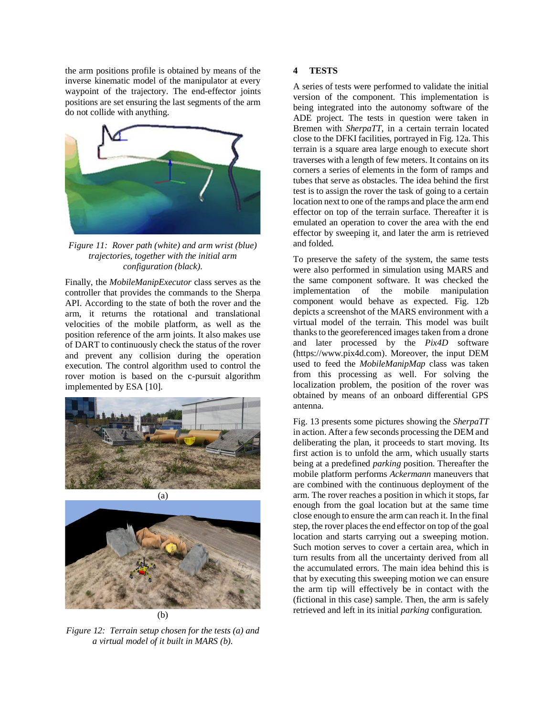the arm positions profile is obtained by means of the inverse kinematic model of the manipulator at every waypoint of the trajectory. The end-effector joints positions are set ensuring the last segments of the arm do not collide with anything.



*Figure 11: Rover path (white) and arm wrist (blue) trajectories, together with the initial arm configuration (black).*

Finally, the *MobileManipExecutor* class serves as the controller that provides the commands to the Sherpa API. According to the state of both the rover and the arm, it returns the rotational and translational velocities of the mobile platform, as well as the position reference of the arm joints. It also makes use of DART to continuously check the status of the rover and prevent any collision during the operation execution. The control algorithm used to control the rover motion is based on the c-pursuit algorithm implemented by ESA [10].





*Figure 12: Terrain setup chosen for the tests (a) and a virtual model of it built in MARS (b).*

### **4 TESTS**

A series of tests were performed to validate the initial version of the component. This implementation is being integrated into the autonomy software of the ADE project. The tests in question were taken in Bremen with *SherpaTT*, in a certain terrain located close to the DFKI facilities, portrayed in Fig. 12a. This terrain is a square area large enough to execute short traverses with a length of few meters. It contains on its corners a series of elements in the form of ramps and tubes that serve as obstacles. The idea behind the first test is to assign the rover the task of going to a certain location next to one of the ramps and place the arm end effector on top of the terrain surface. Thereafter it is emulated an operation to cover the area with the end effector by sweeping it, and later the arm is retrieved and folded.

To preserve the safety of the system, the same tests were also performed in simulation using MARS and the same component software. It was checked the implementation of the mobile manipulation component would behave as expected. Fig. 12b depicts a screenshot of the MARS environment with a virtual model of the terrain. This model was built thanks to the georeferenced images taken from a drone and later processed by the *Pix4D* software (https://www.pix4d.com). Moreover, the input DEM used to feed the *MobileManipMap* class was taken from this processing as well. For solving the localization problem, the position of the rover was obtained by means of an onboard differential GPS antenna.

Fig. 13 presents some pictures showing the *SherpaTT* in action. After a few seconds processing the DEM and deliberating the plan, it proceeds to start moving. Its first action is to unfold the arm, which usually starts being at a predefined *parking* position. Thereafter the mobile platform performs *Ackermann* maneuvers that are combined with the continuous deployment of the arm. The rover reaches a position in which it stops, far enough from the goal location but at the same time close enough to ensure the arm can reach it. In the final step, the rover places the end effector on top of the goal location and starts carrying out a sweeping motion. Such motion serves to cover a certain area, which in turn results from all the uncertainty derived from all the accumulated errors. The main idea behind this is that by executing this sweeping motion we can ensure the arm tip will effectively be in contact with the (fictional in this case) sample. Then, the arm is safely retrieved and left in its initial *parking* configuration.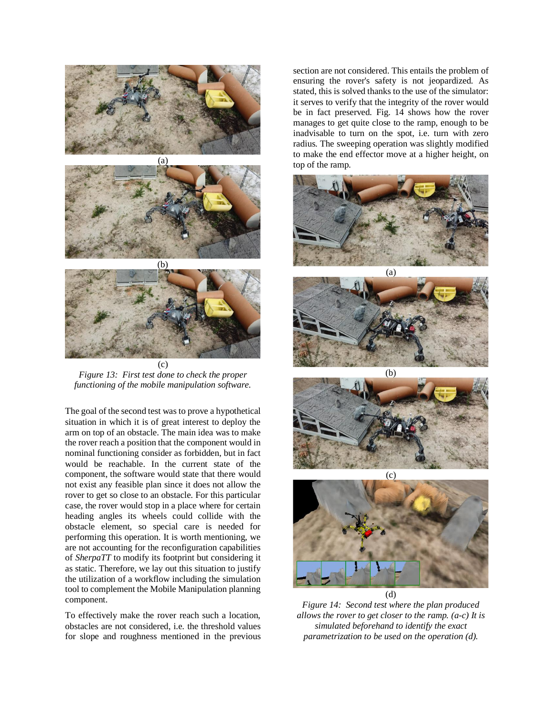





*Figure 13: First test done to check the proper functioning of the mobile manipulation software.*

The goal of the second test was to prove a hypothetical situation in which it is of great interest to deploy the arm on top of an obstacle. The main idea was to make the rover reach a position that the component would in nominal functioning consider as forbidden, but in fact would be reachable. In the current state of the component, the software would state that there would not exist any feasible plan since it does not allow the rover to get so close to an obstacle. For this particular case, the rover would stop in a place where for certain heading angles its wheels could collide with the obstacle element, so special care is needed for performing this operation. It is worth mentioning, we are not accounting for the reconfiguration capabilities of *SherpaTT* to modify its footprint but considering it as static. Therefore, we lay out this situation to justify the utilization of a workflow including the simulation tool to complement the Mobile Manipulation planning component.

To effectively make the rover reach such a location, obstacles are not considered, i.e. the threshold values for slope and roughness mentioned in the previous section are not considered. This entails the problem of ensuring the rover's safety is not jeopardized. As stated, this is solved thanks to the use of the simulator: it serves to verify that the integrity of the rover would be in fact preserved. Fig. 14 shows how the rover manages to get quite close to the ramp, enough to be inadvisable to turn on the spot, i.e. turn with zero radius. The sweeping operation was slightly modified to make the end effector move at a higher height, on top of the ramp.









(d) *Figure 14: Second test where the plan produced allows the rover to get closer to the ramp. (a-c) It is simulated beforehand to identify the exact parametrization to be used on the operation (d).*